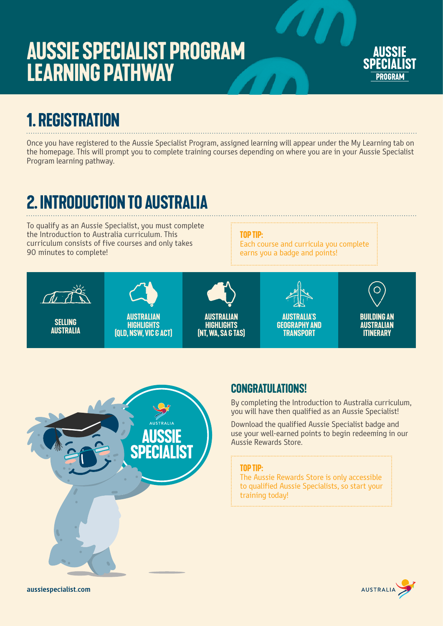# **Aussie Specialist Program Learning Pathway**



## **1. registration**

Once you have registered to the Aussie Specialist Program, assigned learning will appear under the My Learning tab on the homepage. This will prompt you to complete training courses depending on where you are in your Aussie Specialist Program learning pathway.

## **2. introduction to australia**

To qualify as an Aussie Specialist, you must complete the Introduction to Australia curriculum. This curriculum consists of five courses and only takes 90 minutes to complete!

#### **top tip:**

Each course and curricula you complete earns you a badge and points!





#### **Congratulations!**

By completing the Introduction to Australia curriculum, you will have then qualified as an Aussie Specialist!

Download the qualified Aussie Specialist badge and use your well-earned points to begin redeeming in our Aussie Rewards Store.

#### **top tip:**

The Aussie Rewards Store is only accessible to qualified Aussie Specialists, so start your training today!

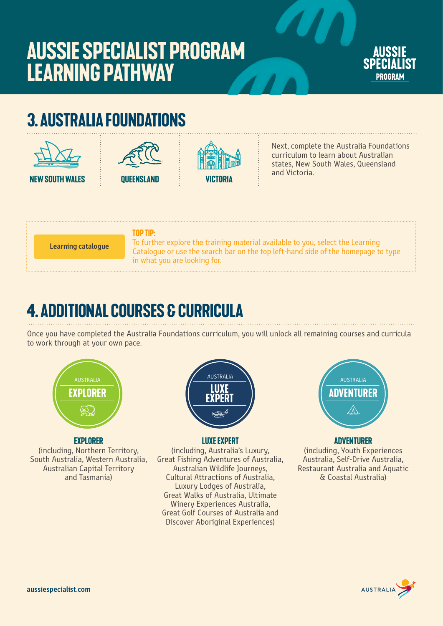# **Aussie Specialist Program Learning Pathway**



## **3. australia foundations**







Next, complete the Australia Foundations curriculum to learn about Australian states, New South Wales, Queensland and Victoria.

**Learning catalogue**

#### **top tip:**

To further explore the training material available to you, select the Learning Catalogue or use the search bar on the top left-hand side of the homepage to type in what you are looking for.

### **4. additional courses & curricula**

Once you have completed the Australia Foundations curriculum, you will unlock all remaining courses and curricula to work through at your own pace.



#### **Explorer**

(including, Northern Territory, South Australia, Western Australia, Australian Capital Territory and Tasmania)



#### **Luxe Expert**

(including, Australia's Luxury, Great Fishing Adventures of Australia, Australian Wildlife Journeys, Cultural Attractions of Australia, Luxury Lodges of Australia, Great Walks of Australia, Ultimate Winery Experiences Australia, Great Golf Courses of Australia and Discover Aboriginal Experiences)



#### **adventurer**

(including, Youth Experiences Australia, Self-Drive Australia, Restaurant Australia and Aquatic & Coastal Australia)